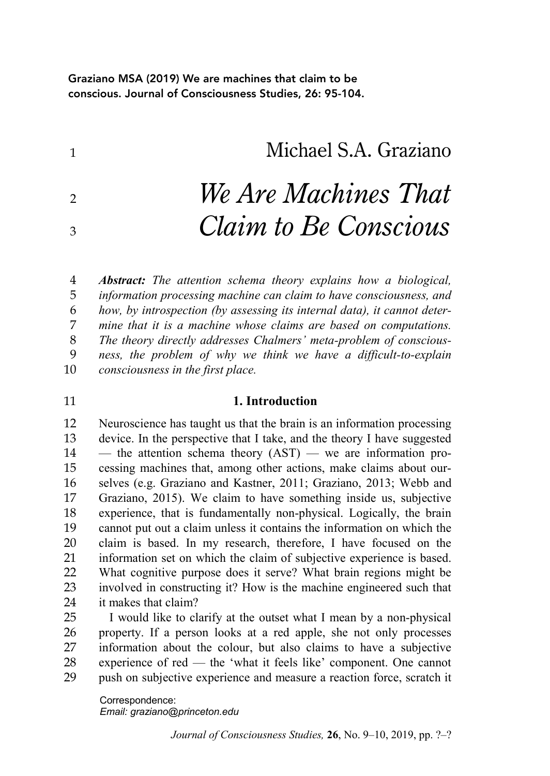Graziano MSA (2019) We are machines that claim to be conscious. Journal of Consciousness Studies, 26: 95-104.

Michael S.A. Graziano

# *We Are Machines That Claim to Be Conscious*

 *Abstract: The attention schema theory explains how a biological, information processing machine can claim to have consciousness, and how, by introspection (by assessing its internal data), it cannot deter- mine that it is a machine whose claims are based on computations. The theory directly addresses Chalmers' meta-problem of conscious- ness, the problem of why we think we have a difficult-to-explain consciousness in the first place.*

### **1. Introduction**

 Neuroscience has taught us that the brain is an information processing device. In the perspective that I take, and the theory I have suggested — the attention schema theory  $(AST)$  — we are information pro- cessing machines that, among other actions, make claims about our- selves (e.g. Graziano and Kastner, 2011; Graziano, 2013; Webb and Graziano, 2015). We claim to have something inside us, subjective experience, that is fundamentally non-physical. Logically, the brain cannot put out a claim unless it contains the information on which the claim is based. In my research, therefore, I have focused on the information set on which the claim of subjective experience is based. What cognitive purpose does it serve? What brain regions might be involved in constructing it? How is the machine engineered such that it makes that claim?

 I would like to clarify at the outset what I mean by a non-physical property. If a person looks at a red apple, she not only processes information about the colour, but also claims to have a subjective experience of red — the 'what it feels like' component. One cannot push on subjective experience and measure a reaction force, scratch it

Correspondence: *Email: graziano@princeton.edu*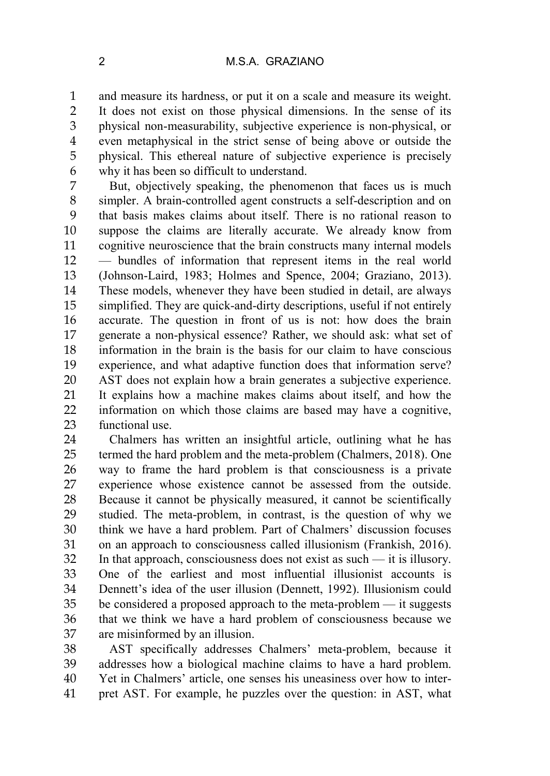and measure its hardness, or put it on a scale and measure its weight. It does not exist on those physical dimensions. In the sense of its physical non-measurability, subjective experience is non-physical, or even metaphysical in the strict sense of being above or outside the physical. This ethereal nature of subjective experience is precisely why it has been so difficult to understand.

 But, objectively speaking, the phenomenon that faces us is much simpler. A brain-controlled agent constructs a self-description and on that basis makes claims about itself. There is no rational reason to suppose the claims are literally accurate. We already know from cognitive neuroscience that the brain constructs many internal models — bundles of information that represent items in the real world (Johnson-Laird, 1983; Holmes and Spence, 2004; Graziano, 2013). These models, whenever they have been studied in detail, are always simplified. They are quick-and-dirty descriptions, useful if not entirely accurate. The question in front of us is not: how does the brain generate a non-physical essence? Rather, we should ask: what set of information in the brain is the basis for our claim to have conscious experience, and what adaptive function does that information serve? AST does not explain how a brain generates a subjective experience. It explains how a machine makes claims about itself, and how the information on which those claims are based may have a cognitive, functional use.

 Chalmers has written an insightful article, outlining what he has termed the hard problem and the meta-problem (Chalmers, 2018). One way to frame the hard problem is that consciousness is a private experience whose existence cannot be assessed from the outside. Because it cannot be physically measured, it cannot be scientifically studied. The meta-problem, in contrast, is the question of why we think we have a hard problem. Part of Chalmers' discussion focuses on an approach to consciousness called illusionism (Frankish, 2016). In that approach, consciousness does not exist as such — it is illusory. One of the earliest and most influential illusionist accounts is Dennett's idea of the user illusion (Dennett, 1992). Illusionism could be considered a proposed approach to the meta-problem — it suggests that we think we have a hard problem of consciousness because we are misinformed by an illusion.

 AST specifically addresses Chalmers' meta-problem, because it addresses how a biological machine claims to have a hard problem. Yet in Chalmers' article, one senses his uneasiness over how to inter-pret AST. For example, he puzzles over the question: in AST, what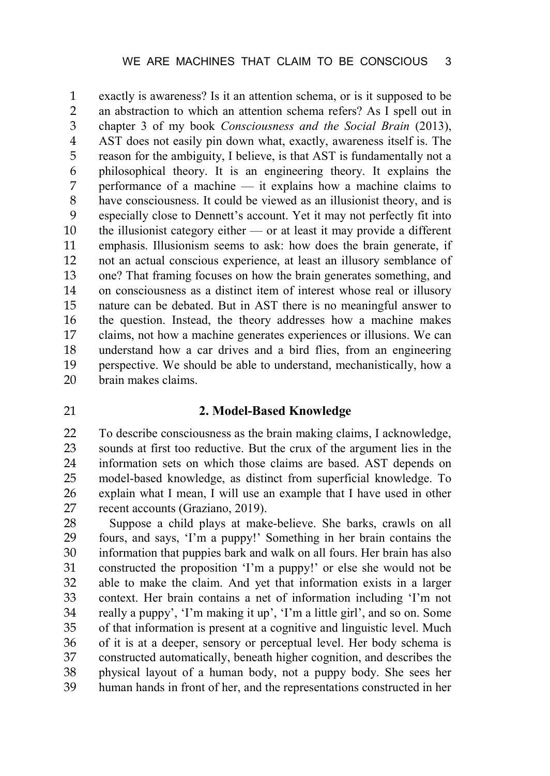exactly is awareness? Is it an attention schema, or is it supposed to be an abstraction to which an attention schema refers? As I spell out in chapter 3 of my book *Consciousness and the Social Brain* (2013), AST does not easily pin down what, exactly, awareness itself is. The reason for the ambiguity, I believe, is that AST is fundamentally not a philosophical theory. It is an engineering theory. It explains the performance of a machine — it explains how a machine claims to have consciousness. It could be viewed as an illusionist theory, and is especially close to Dennett's account. Yet it may not perfectly fit into the illusionist category either — or at least it may provide a different emphasis. Illusionism seems to ask: how does the brain generate, if not an actual conscious experience, at least an illusory semblance of one? That framing focuses on how the brain generates something, and on consciousness as a distinct item of interest whose real or illusory nature can be debated. But in AST there is no meaningful answer to the question. Instead, the theory addresses how a machine makes claims, not how a machine generates experiences or illusions. We can understand how a car drives and a bird flies, from an engineering perspective. We should be able to understand, mechanistically, how a brain makes claims.

## **2. Model-Based Knowledge**

 To describe consciousness as the brain making claims, I acknowledge, sounds at first too reductive. But the crux of the argument lies in the information sets on which those claims are based. AST depends on model-based knowledge, as distinct from superficial knowledge. To explain what I mean, I will use an example that I have used in other 27 recent accounts (Graziano, 2019).<br>28 Suppose a child plays at make

Suppose a child plays at make-believe. She barks, crawls on all fours, and says, 'I'm a puppy!' Something in her brain contains the information that puppies bark and walk on all fours. Her brain has also constructed the proposition 'I'm a puppy!' or else she would not be able to make the claim. And yet that information exists in a larger context. Her brain contains a net of information including 'I'm not really a puppy', 'I'm making it up', 'I'm a little girl', and so on. Some of that information is present at a cognitive and linguistic level. Much of it is at a deeper, sensory or perceptual level. Her body schema is constructed automatically, beneath higher cognition, and describes the physical layout of a human body, not a puppy body. She sees her human hands in front of her, and the representations constructed in her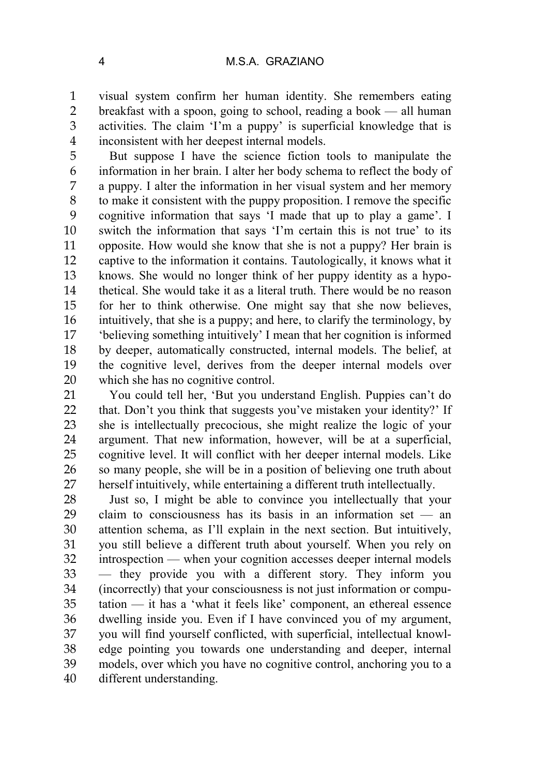visual system confirm her human identity. She remembers eating breakfast with a spoon, going to school, reading a book — all human activities. The claim 'I'm a puppy' is superficial knowledge that is inconsistent with her deepest internal models.

 But suppose I have the science fiction tools to manipulate the information in her brain. I alter her body schema to reflect the body of a puppy. I alter the information in her visual system and her memory to make it consistent with the puppy proposition. I remove the specific cognitive information that says 'I made that up to play a game'. I switch the information that says 'I'm certain this is not true' to its opposite. How would she know that she is not a puppy? Her brain is captive to the information it contains. Tautologically, it knows what it knows. She would no longer think of her puppy identity as a hypo- thetical. She would take it as a literal truth. There would be no reason for her to think otherwise. One might say that she now believes, intuitively, that she is a puppy; and here, to clarify the terminology, by 'believing something intuitively' I mean that her cognition is informed by deeper, automatically constructed, internal models. The belief, at the cognitive level, derives from the deeper internal models over which she has no cognitive control.

 You could tell her, 'But you understand English. Puppies can't do 22 that. Don't you think that suggests you've mistaken your identity?' If she is intellectually precocious, she might realize the logic of your argument. That new information, however, will be at a superficial, cognitive level. It will conflict with her deeper internal models. Like so many people, she will be in a position of believing one truth about herself intuitively, while entertaining a different truth intellectually.

 Just so, I might be able to convince you intellectually that your claim to consciousness has its basis in an information set — an attention schema, as I'll explain in the next section. But intuitively, you still believe a different truth about yourself. When you rely on introspection — when your cognition accesses deeper internal models — they provide you with a different story. They inform you (incorrectly) that your consciousness is not just information or compu- tation — it has a 'what it feels like' component, an ethereal essence dwelling inside you. Even if I have convinced you of my argument, you will find yourself conflicted, with superficial, intellectual knowl- edge pointing you towards one understanding and deeper, internal models, over which you have no cognitive control, anchoring you to a different understanding.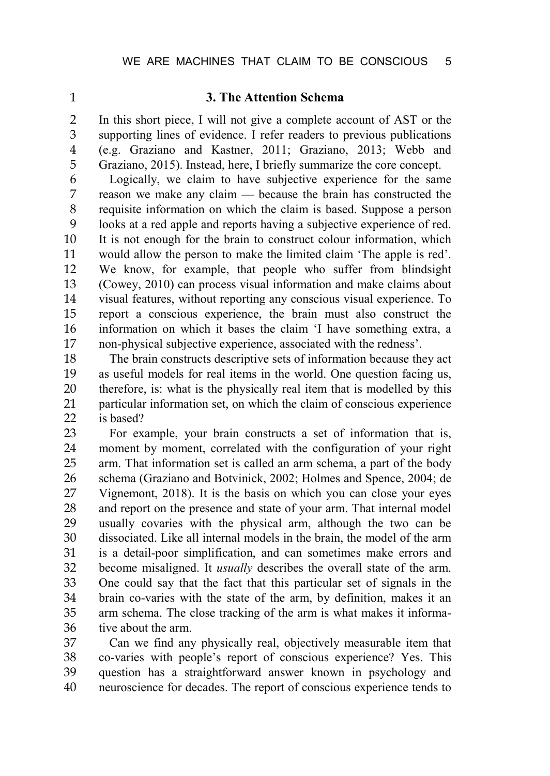### **3. The Attention Schema**

 In this short piece, I will not give a complete account of AST or the supporting lines of evidence. I refer readers to previous publications (e.g. Graziano and Kastner, 2011; Graziano, 2013; Webb and Graziano, 2015). Instead, here, I briefly summarize the core concept.

6 Logically, we claim to have subjective experience for the same<br>7 reason we make any claim — because the brain has constructed the reason we make any claim — because the brain has constructed the requisite information on which the claim is based. Suppose a person looks at a red apple and reports having a subjective experience of red. It is not enough for the brain to construct colour information, which would allow the person to make the limited claim 'The apple is red'. We know, for example, that people who suffer from blindsight (Cowey, 2010) can process visual information and make claims about visual features, without reporting any conscious visual experience. To report a conscious experience, the brain must also construct the information on which it bases the claim 'I have something extra, a non-physical subjective experience, associated with the redness'.

 The brain constructs descriptive sets of information because they act as useful models for real items in the world. One question facing us, therefore, is: what is the physically real item that is modelled by this particular information set, on which the claim of conscious experience is based?

 For example, your brain constructs a set of information that is, moment by moment, correlated with the configuration of your right arm. That information set is called an arm schema, a part of the body schema (Graziano and Botvinick, 2002; Holmes and Spence, 2004; de Vignemont, 2018). It is the basis on which you can close your eyes and report on the presence and state of your arm. That internal model usually covaries with the physical arm, although the two can be dissociated. Like all internal models in the brain, the model of the arm is a detail-poor simplification, and can sometimes make errors and become misaligned. It *usually* describes the overall state of the arm. One could say that the fact that this particular set of signals in the brain co-varies with the state of the arm, by definition, makes it an arm schema. The close tracking of the arm is what makes it informa-tive about the arm.

 Can we find any physically real, objectively measurable item that co-varies with people's report of conscious experience? Yes. This question has a straightforward answer known in psychology and neuroscience for decades. The report of conscious experience tends to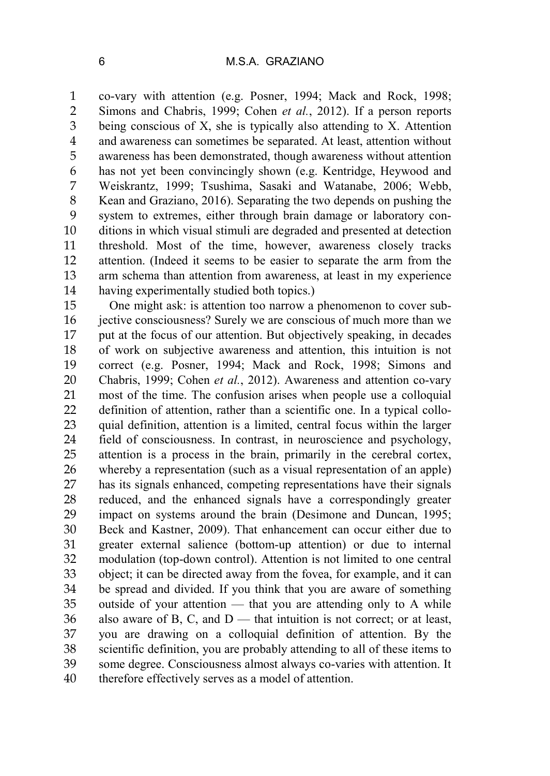co-vary with attention (e.g. Posner, 1994; Mack and Rock, 1998; Simons and Chabris, 1999; Cohen *et al.*, 2012). If a person reports being conscious of X, she is typically also attending to X. Attention and awareness can sometimes be separated. At least, attention without awareness has been demonstrated, though awareness without attention has not yet been convincingly shown (e.g. Kentridge, Heywood and Weiskrantz, 1999; Tsushima, Sasaki and Watanabe, 2006; Webb, Kean and Graziano, 2016). Separating the two depends on pushing the system to extremes, either through brain damage or laboratory con- ditions in which visual stimuli are degraded and presented at detection threshold. Most of the time, however, awareness closely tracks attention. (Indeed it seems to be easier to separate the arm from the arm schema than attention from awareness, at least in my experience having experimentally studied both topics.)

 One might ask: is attention too narrow a phenomenon to cover sub- jective consciousness? Surely we are conscious of much more than we put at the focus of our attention. But objectively speaking, in decades of work on subjective awareness and attention, this intuition is not correct (e.g. Posner, 1994; Mack and Rock, 1998; Simons and Chabris, 1999; Cohen *et al.*, 2012). Awareness and attention co-vary most of the time. The confusion arises when people use a colloquial definition of attention, rather than a scientific one. In a typical collo- quial definition, attention is a limited, central focus within the larger field of consciousness. In contrast, in neuroscience and psychology, attention is a process in the brain, primarily in the cerebral cortex, whereby a representation (such as a visual representation of an apple) has its signals enhanced, competing representations have their signals reduced, and the enhanced signals have a correspondingly greater impact on systems around the brain (Desimone and Duncan, 1995; Beck and Kastner, 2009). That enhancement can occur either due to greater external salience (bottom-up attention) or due to internal modulation (top-down control). Attention is not limited to one central object; it can be directed away from the fovea, for example, and it can be spread and divided. If you think that you are aware of something outside of your attention — that you are attending only to A while also aware of B, C, and D — that intuition is not correct; or at least, you are drawing on a colloquial definition of attention. By the scientific definition, you are probably attending to all of these items to some degree. Consciousness almost always co-varies with attention. It therefore effectively serves as a model of attention.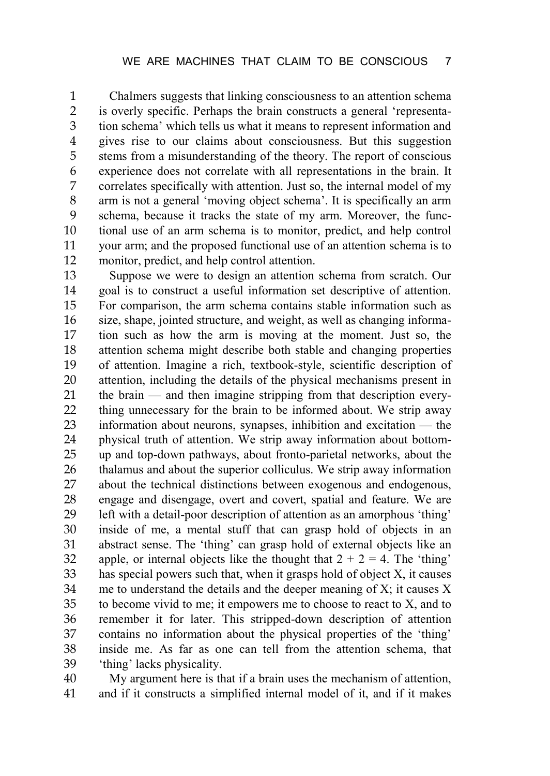Chalmers suggests that linking consciousness to an attention schema is overly specific. Perhaps the brain constructs a general 'representa- tion schema' which tells us what it means to represent information and gives rise to our claims about consciousness. But this suggestion stems from a misunderstanding of the theory. The report of conscious experience does not correlate with all representations in the brain. It correlates specifically with attention. Just so, the internal model of my arm is not a general 'moving object schema'. It is specifically an arm schema, because it tracks the state of my arm. Moreover, the func- tional use of an arm schema is to monitor, predict, and help control your arm; and the proposed functional use of an attention schema is to monitor, predict, and help control attention.

 Suppose we were to design an attention schema from scratch. Our goal is to construct a useful information set descriptive of attention. For comparison, the arm schema contains stable information such as size, shape, jointed structure, and weight, as well as changing informa- tion such as how the arm is moving at the moment. Just so, the attention schema might describe both stable and changing properties of attention. Imagine a rich, textbook-style, scientific description of attention, including the details of the physical mechanisms present in the brain — and then imagine stripping from that description every- thing unnecessary for the brain to be informed about. We strip away information about neurons, synapses, inhibition and excitation — the physical truth of attention. We strip away information about bottom- up and top-down pathways, about fronto-parietal networks, about the thalamus and about the superior colliculus. We strip away information about the technical distinctions between exogenous and endogenous, engage and disengage, overt and covert, spatial and feature. We are left with a detail-poor description of attention as an amorphous 'thing' inside of me, a mental stuff that can grasp hold of objects in an abstract sense. The 'thing' can grasp hold of external objects like an 32 apple, or internal objects like the thought that  $2 + 2 = 4$ . The 'thing' has special powers such that, when it grasps hold of object X, it causes me to understand the details and the deeper meaning of X; it causes X to become vivid to me; it empowers me to choose to react to X, and to remember it for later. This stripped-down description of attention contains no information about the physical properties of the 'thing' inside me. As far as one can tell from the attention schema, that 'thing' lacks physicality.

 My argument here is that if a brain uses the mechanism of attention, and if it constructs a simplified internal model of it, and if it makes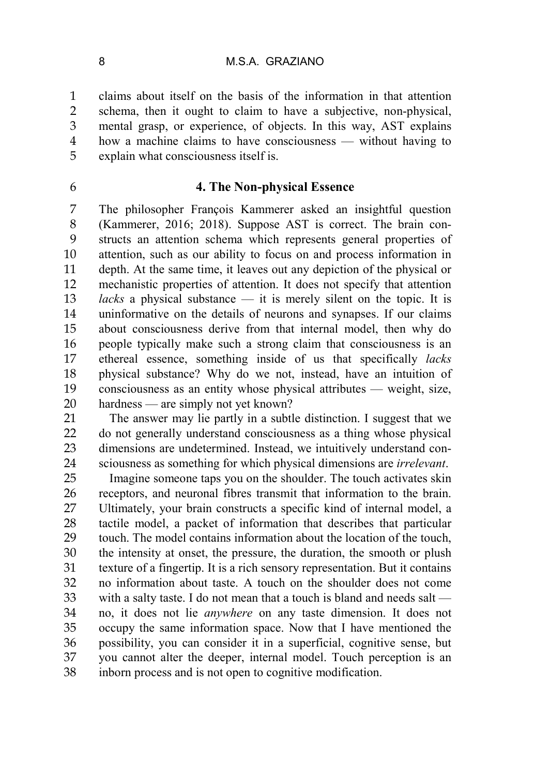claims about itself on the basis of the information in that attention schema, then it ought to claim to have a subjective, non-physical, mental grasp, or experience, of objects. In this way, AST explains how a machine claims to have consciousness — without having to explain what consciousness itself is.

## **4. The Non-physical Essence**

 The philosopher François Kammerer asked an insightful question (Kammerer, 2016; 2018). Suppose AST is correct. The brain con- structs an attention schema which represents general properties of attention, such as our ability to focus on and process information in depth. At the same time, it leaves out any depiction of the physical or mechanistic properties of attention. It does not specify that attention *lacks* a physical substance — it is merely silent on the topic. It is uninformative on the details of neurons and synapses. If our claims about consciousness derive from that internal model, then why do people typically make such a strong claim that consciousness is an ethereal essence, something inside of us that specifically *lacks* physical substance? Why do we not, instead, have an intuition of consciousness as an entity whose physical attributes — weight, size, hardness — are simply not yet known?

 The answer may lie partly in a subtle distinction. I suggest that we do not generally understand consciousness as a thing whose physical dimensions are undetermined. Instead, we intuitively understand con-sciousness as something for which physical dimensions are *irrelevant*.

 Imagine someone taps you on the shoulder. The touch activates skin receptors, and neuronal fibres transmit that information to the brain. Ultimately, your brain constructs a specific kind of internal model, a tactile model, a packet of information that describes that particular touch. The model contains information about the location of the touch, the intensity at onset, the pressure, the duration, the smooth or plush texture of a fingertip. It is a rich sensory representation. But it contains no information about taste. A touch on the shoulder does not come with a salty taste. I do not mean that a touch is bland and needs salt — no, it does not lie *anywhere* on any taste dimension. It does not occupy the same information space. Now that I have mentioned the possibility, you can consider it in a superficial, cognitive sense, but you cannot alter the deeper, internal model. Touch perception is an inborn process and is not open to cognitive modification.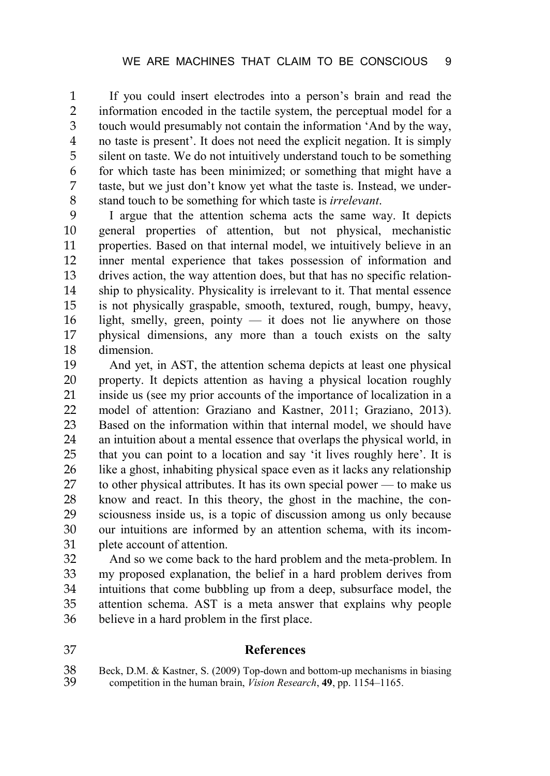If you could insert electrodes into a person's brain and read the information encoded in the tactile system, the perceptual model for a touch would presumably not contain the information 'And by the way, no taste is present'. It does not need the explicit negation. It is simply silent on taste. We do not intuitively understand touch to be something for which taste has been minimized; or something that might have a taste, but we just don't know yet what the taste is. Instead, we under-stand touch to be something for which taste is *irrelevant*.

 I argue that the attention schema acts the same way. It depicts general properties of attention, but not physical, mechanistic properties. Based on that internal model, we intuitively believe in an inner mental experience that takes possession of information and drives action, the way attention does, but that has no specific relation- ship to physicality. Physicality is irrelevant to it. That mental essence is not physically graspable, smooth, textured, rough, bumpy, heavy, light, smelly, green, pointy — it does not lie anywhere on those physical dimensions, any more than a touch exists on the salty dimension.

 And yet, in AST, the attention schema depicts at least one physical property. It depicts attention as having a physical location roughly inside us (see my prior accounts of the importance of localization in a model of attention: Graziano and Kastner, 2011; Graziano, 2013). Based on the information within that internal model, we should have an intuition about a mental essence that overlaps the physical world, in that you can point to a location and say 'it lives roughly here'. It is like a ghost, inhabiting physical space even as it lacks any relationship to other physical attributes. It has its own special power — to make us know and react. In this theory, the ghost in the machine, the con- sciousness inside us, is a topic of discussion among us only because our intuitions are informed by an attention schema, with its incom-plete account of attention.

 And so we come back to the hard problem and the meta-problem. In my proposed explanation, the belief in a hard problem derives from intuitions that come bubbling up from a deep, subsurface model, the attention schema. AST is a meta answer that explains why people believe in a hard problem in the first place.

## **References**

38 Beck, D.M. & Kastner, S. (2009) Top-down and bottom-up mechanisms in biasing competition in the human brain. *Vision Research*, **49**, pp. 1154–1165. competition in the human brain, *Vision Research*, **49**, pp. 1154–1165.